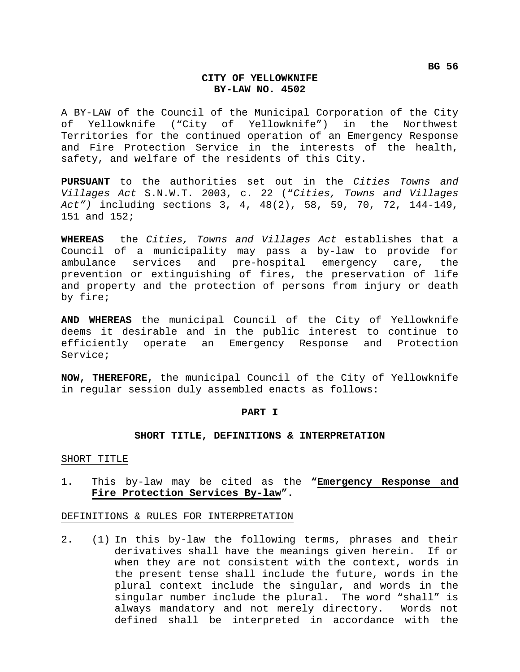# **CITY OF YELLOWKNIFE BY-LAW NO. 4502**

A BY-LAW of the Council of the Municipal Corporation of the City of Yellowknife ("City of Yellowknife") in the Northwest Territories for the continued operation of an Emergency Response and Fire Protection Service in the interests of the health, safety, and welfare of the residents of this City.

**PURSUANT** to the authorities set out in the *Cities Towns and Villages Act* S.N.W.T. 2003, c. 22 ("*Cities, Towns and Villages Act")* including sections 3, 4, 48(2), 58, 59, 70, 72, 144-149, 151 and 152;

**WHEREAS** the *Cities, Towns and Villages Act* establishes that a Council of a municipality may pass a by-law to provide for ambulance services and pre-hospital emergency care, the prevention or extinguishing of fires, the preservation of life and property and the protection of persons from injury or death by fire;

**AND WHEREAS** the municipal Council of the City of Yellowknife deems it desirable and in the public interest to continue to efficiently operate an Emergency Response and Protection Service;

**NOW, THEREFORE,** the municipal Council of the City of Yellowknife in regular session duly assembled enacts as follows:

## **PART I**

### **SHORT TITLE, DEFINITIONS & INTERPRETATION**

#### SHORT TITLE

1. This by-law may be cited as the **"Emergency Response and Fire Protection Services By-law".** 

## DEFINITIONS & RULES FOR INTERPRETATION

2. (1) In this by-law the following terms, phrases and their derivatives shall have the meanings given herein. If or when they are not consistent with the context, words in the present tense shall include the future, words in the plural context include the singular, and words in the singular number include the plural. The word "shall" is always mandatory and not merely directory. Words not defined shall be interpreted in accordance with the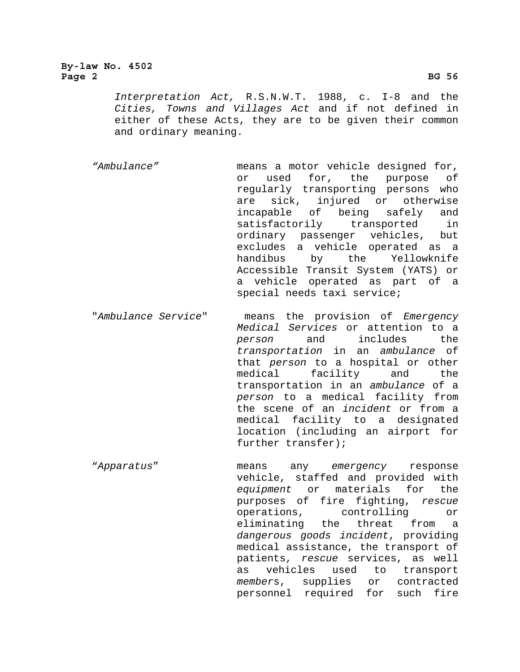# **By-law No. 4502**  Page 2 BG 56<sup>2</sup>

*Interpretation Act,* R.S.N.W.T. 1988, c. I-8 and the *Cities, Towns and Villages Act* and if not defined in either of these Acts, they are to be given their common and ordinary meaning.

*"Ambulance"* means a motor vehicle designed for, or used for, the purpose of regularly transporting persons who are sick, injured or otherwise incapable of being safely and satisfactorily transported in ordinary passenger vehicles, but excludes a vehicle operated as a handibus by the Yellowknife Accessible Transit System (YATS) or a vehicle operated as part of a special needs taxi service;

"*Ambulance Service*" means the provision of *Emergency Medical Services* or attention to a *person* and includes the *transportation* in an *ambulance* of that *person* to a hospital or other medical facility and the transportation in an *ambulance* of a *person* to a medical facility from the scene of an *incident* or from a medical facility to a designated location (including an airport for further transfer);

"*Apparatus*" means any *emergency* response vehicle, staffed and provided with *equipment* or materials for the purposes of fire fighting, *rescue* operations, controlling or eliminating the threat from a *dangerous goods incident*, providing medical assistance, the transport of patients, *rescue* services, as well as vehicles used to transport *member*s, supplies or contracted personnel required for such fire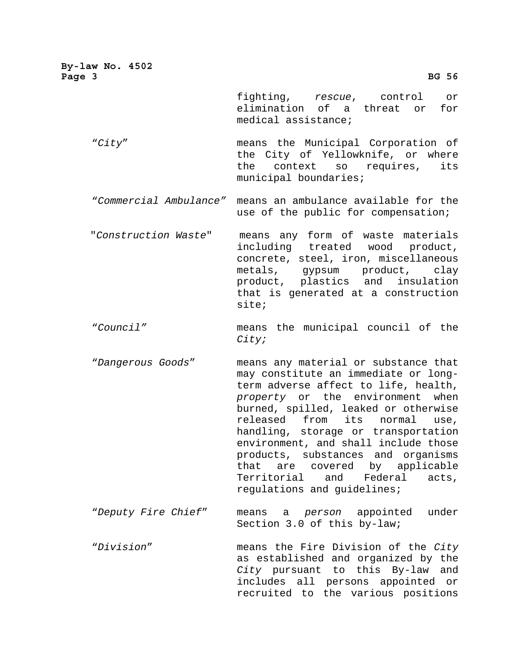| By-law No. 4502<br>Page 3 | <b>BG 56</b>                                                                                                                                                                                                                                                                                                                                                                                                                                                      |
|---------------------------|-------------------------------------------------------------------------------------------------------------------------------------------------------------------------------------------------------------------------------------------------------------------------------------------------------------------------------------------------------------------------------------------------------------------------------------------------------------------|
|                           | fighting, rescue, control<br>or<br>elimination of a threat or<br>for<br>medical assistance;                                                                                                                                                                                                                                                                                                                                                                       |
| "City"                    | means the Municipal Corporation of<br>the City of Yellowknife, or where<br>the context so requires,<br>its<br>municipal boundaries;                                                                                                                                                                                                                                                                                                                               |
| "Commercial Ambulance"    | means an ambulance available for the<br>use of the public for compensation;                                                                                                                                                                                                                                                                                                                                                                                       |
| "Construction Waste"      | means any form of waste materials<br>including treated wood product,<br>concrete, steel, iron, miscellaneous<br>metals, gypsum product,<br>clay<br>product, plastics and insulation<br>that is generated at a construction<br>site;                                                                                                                                                                                                                               |
| "Council"                 | means the municipal council of the<br>City;                                                                                                                                                                                                                                                                                                                                                                                                                       |
| "Dangerous Goods"         | means any material or substance that<br>may constitute an immediate or long-<br>term adverse affect to life, health,<br>property or the environment when<br>burned, spilled, leaked or otherwise<br>released from its<br>normal<br>use,<br>handling, storage or transportation<br>environment, and shall include those<br>products, substances and organisms<br>that are covered by applicable<br>Territorial and Federal<br>acts,<br>regulations and guidelines; |
| "Deputy Fire Chief"       | means a <i>person</i> appointed<br>under<br>Section 3.0 of this by-law;                                                                                                                                                                                                                                                                                                                                                                                           |
| "Division"                | means the Fire Division of the City<br>as established and organized by the<br>City pursuant to this By-law and<br>includes all persons appointed or<br>recruited to the various positions                                                                                                                                                                                                                                                                         |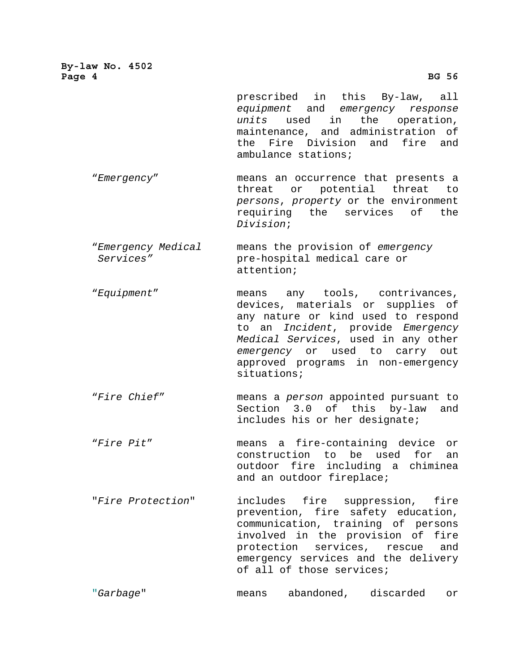**By-law No. 4502**  Page 4 BG 56<sup>2</sup>

prescribed in this By-law, all *equipment* and *emergency response units* used in the operation, maintenance, and administration of the Fire Division and fire and ambulance stations;

 "*Emergency*" means an occurrence that presents a threat or potential threat to *persons*, *property* or the environment requiring the services of the *Division*;

 "*Emergency Medical* means the provision of *emergency Services"* pre-hospital medical care or attention;

 "*Equipment*" means any tools, contrivances, devices, materials or supplies of any nature or kind used to respond to an *Incident*, provide *Emergency Medical Services*, used in any other *emergency* or used to carry out approved programs in non-emergency situations;

 "*Fire Chief*" means a *person* appointed pursuant to Section 3.0 of this by-law and includes his or her designate;

 "*Fire Pit*" means a fire-containing device or construction to be used for an outdoor fire including a chiminea and an outdoor fireplace;

"*Fire Protection*" includes fire suppression, fire prevention, fire safety education, communication, training of persons involved in the provision of fire protection services, rescue and emergency services and the delivery of all of those services;

"*Garbage*" means abandoned, discarded or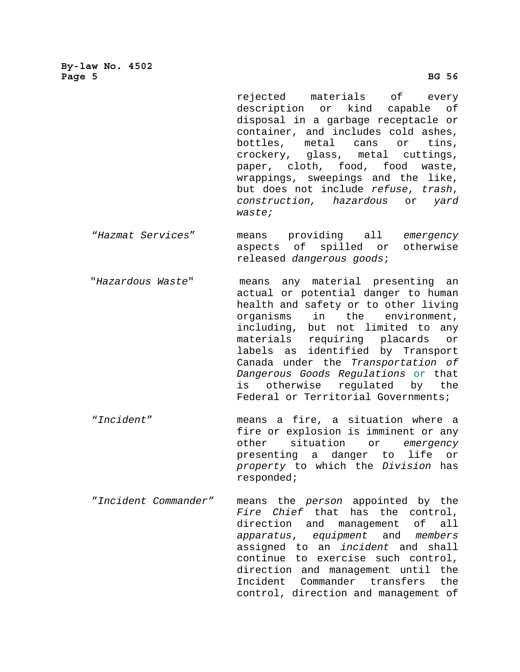**By-law No. 4502**  Page 5 BG 56<sup>2</sup>

> rejected materials of every description or kind capable of disposal in a garbage receptacle or container, and includes cold ashes, bottles, metal cans or tins, crockery, glass, metal cuttings, paper, cloth, food, food waste, wrappings, sweepings and the like, but does not include *refuse*, *trash*, *construction, hazardous* or *yard waste;*

- "*Hazmat Services*" means providing all *emergency* aspects of spilled or otherwise released *dangerous goods*;
- "*Hazardous Waste*" means any material presenting an actual or potential danger to human health and safety or to other living organisms in the environment, including, but not limited to any materials requiring placards or labels as identified by Transport Canada under the *Transportation of Dangerous Goods Regulations* or that is otherwise regulated by the Federal or Territorial Governments;
- "*Incident*" means a fire, a situation where a fire or explosion is imminent or any other situation or *emergency* presenting a danger to life or *property* to which the *Division* has responded;
- "*Incident Commander"* means the *person* appointed by the *Fire Chief* that has the control, direction and management of all *apparatus*, *equipment* and *members*  assigned to an *incident* and shall continue to exercise such control, direction and management until the Incident Commander transfers the control, direction and management of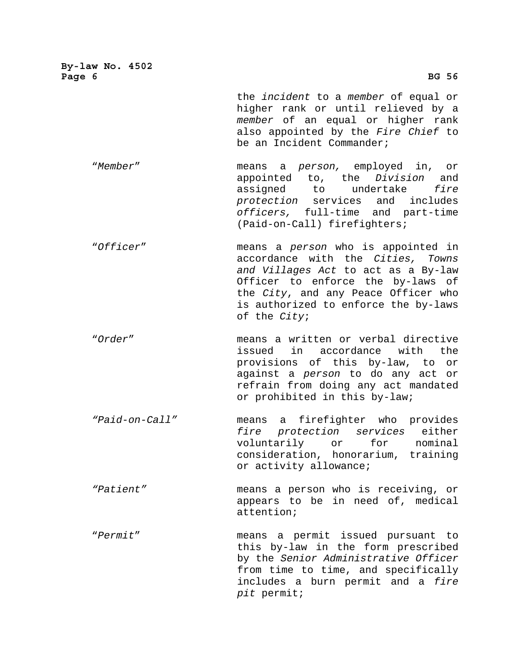| By-law No. 4502<br>Page 6 | <b>BG 56</b>                                                                                                                                                                                                                                              |
|---------------------------|-----------------------------------------------------------------------------------------------------------------------------------------------------------------------------------------------------------------------------------------------------------|
|                           | the <i>incident</i> to a member of equal or<br>higher rank or until relieved by a<br>member of an equal or higher rank<br>also appointed by the Fire Chief to<br>be an Incident Commander;                                                                |
| "Member"                  | means a person, employed in, or<br>appointed to, the Division and<br>fire<br>assigned to undertake<br>protection services and includes<br>officers, full-time and part-time<br>(Paid-on-Call) firefighters;                                               |
| "Officer"                 | means a <i>person</i> who is appointed in<br>accordance with the Cities, Towns<br>and Villages Act to act as a By-law<br>Officer to enforce the by-laws of<br>the City, and any Peace Officer who<br>is authorized to enforce the by-laws<br>of the City; |
| "Order"                   | means a written or verbal directive<br>in accordance with the<br>issued<br>provisions of this by-law, to<br>or<br>against a person to do any act or<br>refrain from doing any act mandated<br>or prohibited in this by-law;                               |
| "Paid-on-Call"            | a firefighter who provides<br>means<br>protection services<br>fire<br>either<br>voluntarily<br>or<br>for<br>nominal<br>consideration, honorarium, training<br>or activity allowance;                                                                      |
| "Patient"                 | means a person who is receiving, or<br>appears to be in need of, medical<br>attention;                                                                                                                                                                    |
| "Permit"                  | means a permit issued pursuant to<br>this by-law in the form prescribed<br>by the Senior Administrative Officer<br>from time to time, and specifically<br>includes a burn permit and a fire<br>pit permit;                                                |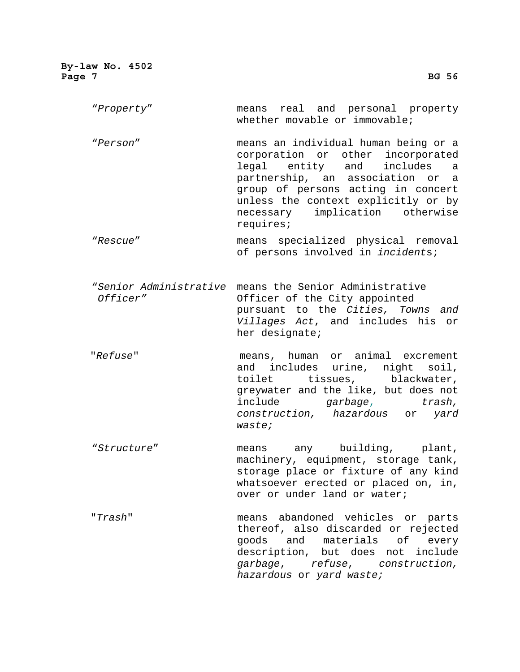"*Property*" means real and personal property whether movable or immovable;

"*Person*" means an individual human being or a corporation or other incorporated legal entity and includes a partnership, an association or a group of persons acting in concert unless the context explicitly or by necessary implication otherwise requires;

 "*Rescue*" means specialized physical removal of persons involved in *incident*s;

 "*Senior Administrative* means the Senior Administrative *Officer"* Officer of the City appointed pursuant to the *Cities, Towns and Villages Act*, and includes his or her designate;

"*Refuse*" means, human or animal excrement and includes urine, night soil, toilet tissues, blackwater, greywater and the like, but does not include *garbage*, *trash, construction, hazardous* or *yard waste;* 

 "*Structure*" means any building, plant, machinery, equipment, storage tank, storage place or fixture of any kind whatsoever erected or placed on, in, over or under land or water;

"*Trash*" means abandoned vehicles or parts thereof, also discarded or rejected goods and materials of every description, but does not include *garbage*, *refuse*, *construction, hazardous* or *yard waste;*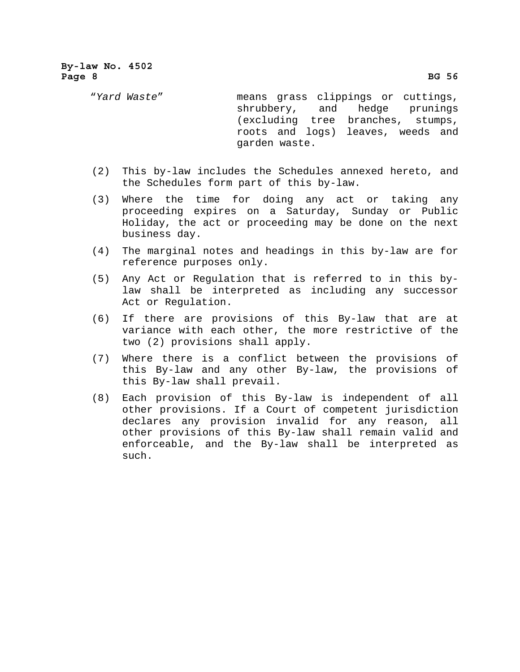"*Yard Waste*" means grass clippings or cuttings, shrubbery, and hedge prunings (excluding tree branches, stumps, roots and logs) leaves, weeds and garden waste.

- (2) This by-law includes the Schedules annexed hereto, and the Schedules form part of this by-law.
- (3) Where the time for doing any act or taking any proceeding expires on a Saturday, Sunday or Public Holiday, the act or proceeding may be done on the next business day.
- (4) The marginal notes and headings in this by-law are for reference purposes only.
- (5) Any Act or Regulation that is referred to in this bylaw shall be interpreted as including any successor Act or Regulation.
- (6) If there are provisions of this By-law that are at variance with each other, the more restrictive of the two (2) provisions shall apply.
- (7) Where there is a conflict between the provisions of this By-law and any other By-law, the provisions of this By-law shall prevail.
- (8) Each provision of this By-law is independent of all other provisions. If a Court of competent jurisdiction declares any provision invalid for any reason, all other provisions of this By-law shall remain valid and enforceable, and the By-law shall be interpreted as such.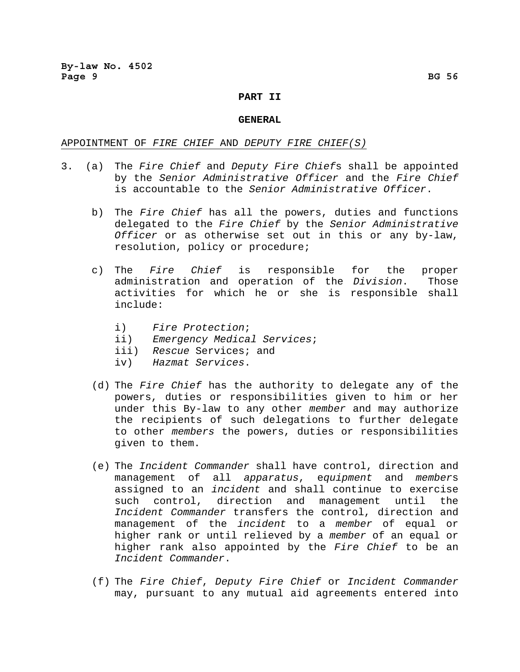## **PART II**

#### **GENERAL**

## APPOINTMENT OF *FIRE CHIEF* AND *DEPUTY FIRE CHIEF(S)*

- 3. (a) The *Fire Chief* and *Deputy Fire Chief*s shall be appointed by the *Senior Administrative Officer* and the *Fire Chief* is accountable to the *Senior Administrative Officer*.
	- b) The *Fire Chief* has all the powers, duties and functions delegated to the *Fire Chief* by the *Senior Administrative Officer* or as otherwise set out in this or any by-law, resolution, policy or procedure;
	- c) The *Fire Chief* is responsible for the proper administration and operation of the *Division*. Those activities for which he or she is responsible shall include:
		- i) *Fire Protection*;
		- ii) *Emergency Medical Services*;
		- iii) *Rescue* Services; and
		- iv) *Hazmat Services*.
	- (d) The *Fire Chief* has the authority to delegate any of the powers, duties or responsibilities given to him or her under this By-law to any other *member* and may authorize the recipients of such delegations to further delegate to other *members* the powers, duties or responsibilities given to them.
	- (e) The *Incident Commander* shall have control, direction and management of all *apparatus*, e*quipment* and *member*s assigned to an *incident* and shall continue to exercise such control, direction and management until the *Incident Commander* transfers the control, direction and management of the *incident* to a *member* of equal or higher rank or until relieved by a *member* of an equal or higher rank also appointed by the *Fire Chief* to be an *Incident Commander*.
	- (f) The *Fire Chief*, *Deputy Fire Chief* or *Incident Commander* may, pursuant to any mutual aid agreements entered into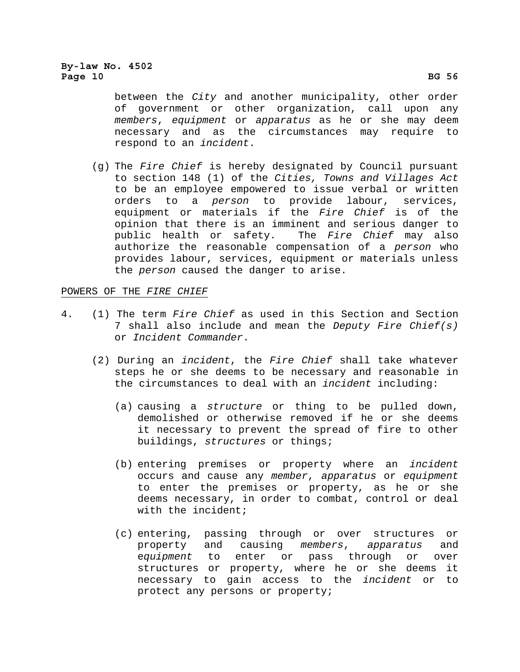between the *City* and another municipality, other order of government or other organization, call upon any *members*, *equipment* or *apparatus* as he or she may deem necessary and as the circumstances may require to respond to an *incident*.

(g) The *Fire Chief* is hereby designated by Council pursuant to section 148 (1) of the *Cities, Towns and Villages Act*  to be an employee empowered to issue verbal or written orders to a *person* to provide labour, services, equipment or materials if the *Fire Chief* is of the opinion that there is an imminent and serious danger to public health or safety. The *Fire Chief* may also authorize the reasonable compensation of a *person* who provides labour, services, equipment or materials unless the *person* caused the danger to arise.

# POWERS OF THE *FIRE CHIEF*

- 4. (1) The term *Fire Chief* as used in this Section and Section 7 shall also include and mean the *Deputy Fire Chief(s)* or *Incident Commander*.
	- (2) During an *incident*, the *Fire Chief* shall take whatever steps he or she deems to be necessary and reasonable in the circumstances to deal with an *incident* including:
		- (a) causing a *structure* or thing to be pulled down, demolished or otherwise removed if he or she deems it necessary to prevent the spread of fire to other buildings, *structures* or things;
		- (b) entering premises or property where an *incident* occurs and cause any *member*, *apparatus* or *equipment* to enter the premises or property, as he or she deems necessary, in order to combat, control or deal with the incident;
		- (c) entering, passing through or over structures or property and causing *members*, *apparatus* and e*quipment* to enter or pass through or over structures or property, where he or she deems it necessary to gain access to the *incident* or to protect any persons or property;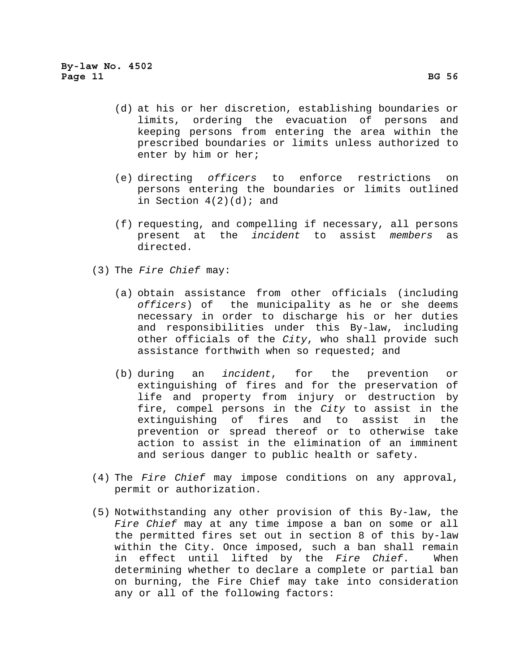- (d) at his or her discretion, establishing boundaries or limits, ordering the evacuation of persons and keeping persons from entering the area within the prescribed boundaries or limits unless authorized to enter by him or her;
- (e) directing *officers* to enforce restrictions on persons entering the boundaries or limits outlined in Section  $4(2)(d)$ ; and
- (f) requesting, and compelling if necessary, all persons present at the *incident* to assist *members* as directed.
- (3) The *Fire Chief* may:
	- (a) obtain assistance from other officials (including *officers*) of the municipality as he or she deems necessary in order to discharge his or her duties and responsibilities under this By-law, including other officials of the *City*, who shall provide such assistance forthwith when so requested; and
	- (b) during an *incident*, for the prevention or extinguishing of fires and for the preservation of life and property from injury or destruction by fire, compel persons in the *City* to assist in the extinguishing of fires and to assist in the prevention or spread thereof or to otherwise take action to assist in the elimination of an imminent and serious danger to public health or safety.
- (4) The *Fire Chief* may impose conditions on any approval, permit or authorization.
- (5) Notwithstanding any other provision of this By-law, the *Fire Chief* may at any time impose a ban on some or all the permitted fires set out in section 8 of this by-law within the City. Once imposed, such a ban shall remain in effect until lifted by the *Fire Chief*. When determining whether to declare a complete or partial ban on burning, the Fire Chief may take into consideration any or all of the following factors: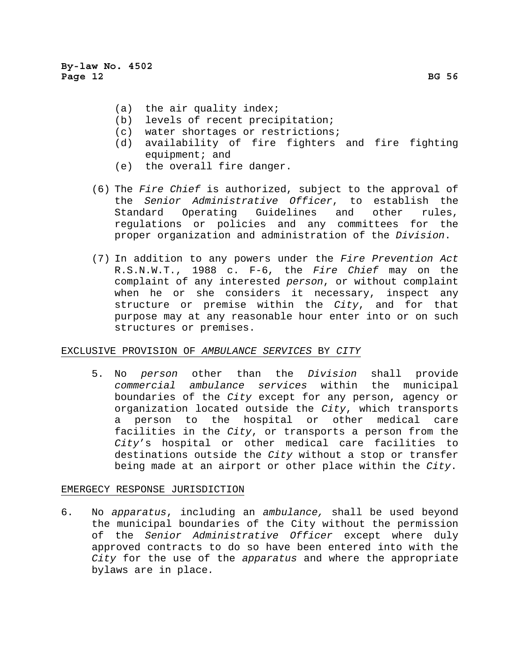- (a) the air quality index;
- (b) levels of recent precipitation;
- (c) water shortages or restrictions;
- (d) availability of fire fighters and fire fighting equipment; and
- (e) the overall fire danger.
- (6) The *Fire Chief* is authorized, subject to the approval of the *Senior Administrative Officer*, to establish the Standard Operating Guidelines and other rules, regulations or policies and any committees for the proper organization and administration of the *Division*.
- (7) In addition to any powers under the *Fire Prevention Act* R.S.N.W.T., 1988 c. F-6, the *Fire Chief* may on the complaint of any interested *person*, or without complaint when he or she considers it necessary, inspect any structure or premise within the *City*, and for that purpose may at any reasonable hour enter into or on such structures or premises.

# EXCLUSIVE PROVISION OF *AMBULANCE SERVICES* BY *CITY*

5. No *person* other than the *Division* shall provide *commercial ambulance services* within the municipal boundaries of the *City* except for any person, agency or organization located outside the *City*, which transports a person to the hospital or other medical care facilities in the *City*, or transports a person from the *City*'s hospital or other medical care facilities to destinations outside the *City* without a stop or transfer being made at an airport or other place within the *City*.

# EMERGECY RESPONSE JURISDICTION

6. No *apparatus*, including an *ambulance,* shall be used beyond the municipal boundaries of the City without the permission of the *Senior Administrative Officer* except where duly approved contracts to do so have been entered into with the *City* for the use of the *apparatus* and where the appropriate bylaws are in place*.*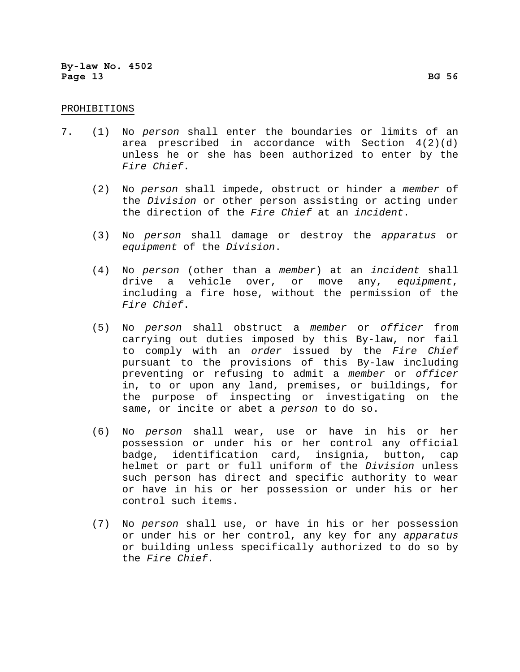## PROHIBITIONS

- 7. (1) No *person* shall enter the boundaries or limits of an area prescribed in accordance with Section 4(2)(d) unless he or she has been authorized to enter by the *Fire Chief*.
	- (2) No *person* shall impede, obstruct or hinder a *member* of the *Division* or other person assisting or acting under the direction of the *Fire Chief* at an *incident*.
	- (3) No *person* shall damage or destroy the *apparatus* or *equipment* of the *Division*.
	- (4) No *person* (other than a *member*) at an *incident* shall drive a vehicle over, or move any, *equipment*, including a fire hose, without the permission of the *Fire Chief*.
	- (5) No *person* shall obstruct a *member* or *officer* from carrying out duties imposed by this By-law, nor fail to comply with an *order* issued by the *Fire Chief* pursuant to the provisions of this By-law including preventing or refusing to admit a *member* or *officer*  in, to or upon any land, premises, or buildings, for the purpose of inspecting or investigating on the same, or incite or abet a *person* to do so.
	- (6) No *person* shall wear, use or have in his or her possession or under his or her control any official badge, identification card, insignia, button, cap helmet or part or full uniform of the *Division* unless such person has direct and specific authority to wear or have in his or her possession or under his or her control such items.
	- (7) No *person* shall use, or have in his or her possession or under his or her control, any key for any *apparatus* or building unless specifically authorized to do so by the *Fire Chief.*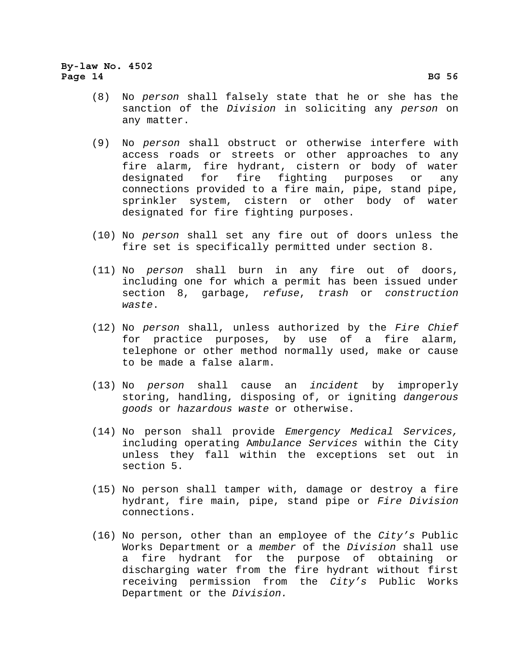- (8) No *person* shall falsely state that he or she has the sanction of the *Division* in soliciting any *person* on any matter.
- (9) No *person* shall obstruct or otherwise interfere with access roads or streets or other approaches to any fire alarm, fire hydrant, cistern or body of water designated for fire fighting purposes or any connections provided to a fire main, pipe, stand pipe, sprinkler system, cistern or other body of water designated for fire fighting purposes.
- (10) No *person* shall set any fire out of doors unless the fire set is specifically permitted under section 8.
- (11) No *person* shall burn in any fire out of doors, including one for which a permit has been issued under section 8, garbage, *refuse*, *trash* or *construction waste*.
- (12) No *person* shall, unless authorized by the *Fire Chief*  for practice purposes, by use of a fire alarm, telephone or other method normally used, make or cause to be made a false alarm.
- (13) No *person* shall cause an *incident* by improperly storing, handling, disposing of, or igniting *dangerous goods* or *hazardous waste* or otherwise.
- (14) No person shall provide *Emergency Medical Services,* including operating A*mbulance Services* within the City unless they fall within the exceptions set out in section 5.
- (15) No person shall tamper with, damage or destroy a fire hydrant, fire main, pipe, stand pipe or *Fire Division* connections.
- (16) No person, other than an employee of the *City's* Public Works Department or a *member* of the *Division* shall use a fire hydrant for the purpose of obtaining or discharging water from the fire hydrant without first receiving permission from the *City's* Public Works Department or the *Division.*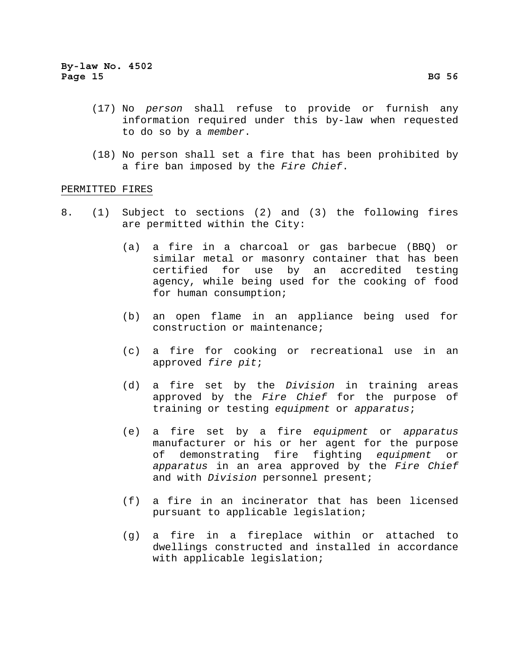- (17) No *person* shall refuse to provide or furnish any information required under this by-law when requested to do so by a *member*.
- (18) No person shall set a fire that has been prohibited by a fire ban imposed by the *Fire Chief*.

### PERMITTED FIRES

- 8. (1) Subject to sections (2) and (3) the following fires are permitted within the City:
	- (a) a fire in a charcoal or gas barbecue (BBQ) or similar metal or masonry container that has been certified for use by an accredited testing agency, while being used for the cooking of food for human consumption;
	- (b) an open flame in an appliance being used for construction or maintenance;
	- (c) a fire for cooking or recreational use in an approved *fire pit*;
	- (d) a fire set by the *Division* in training areas approved by the *Fire Chief* for the purpose of training or testing *equipment* or *apparatus*;
	- (e) a fire set by a fire *equipment* or *apparatus* manufacturer or his or her agent for the purpose of demonstrating fire fighting *equipment* or *apparatus* in an area approved by the *Fire Chief* and with *Division* personnel present;
	- (f) a fire in an incinerator that has been licensed pursuant to applicable legislation;
	- (g) a fire in a fireplace within or attached to dwellings constructed and installed in accordance with applicable legislation;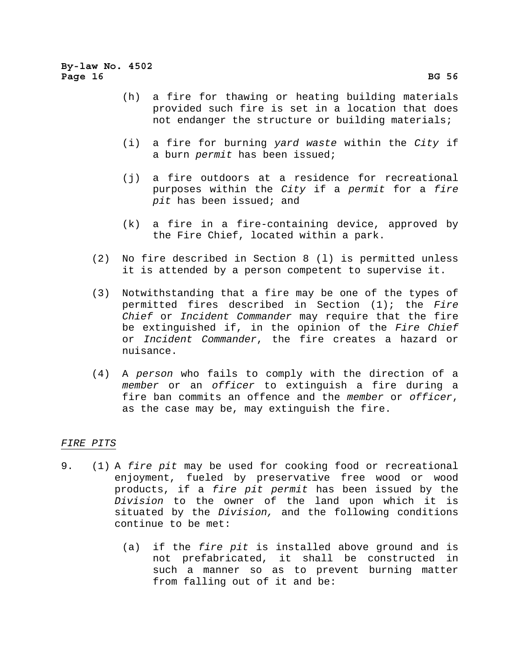- (h) a fire for thawing or heating building materials provided such fire is set in a location that does not endanger the structure or building materials;
- (i) a fire for burning *yard waste* within the *City* if a burn *permit* has been issued;
- (j) a fire outdoors at a residence for recreational purposes within the *City* if a *permit* for a *fire pit* has been issued; and
- (k) a fire in a fire-containing device, approved by the Fire Chief, located within a park.
- (2) No fire described in Section 8 (l) is permitted unless it is attended by a person competent to supervise it.
- (3) Notwithstanding that a fire may be one of the types of permitted fires described in Section (1); the *Fire Chief* or *Incident Commander* may require that the fire be extinguished if, in the opinion of the *Fire Chief* or *Incident Commander*, the fire creates a hazard or nuisance.
- (4) A *person* who fails to comply with the direction of a *member* or an *officer* to extinguish a fire during a fire ban commits an offence and the *member* or *officer*, as the case may be, may extinguish the fire.

# *FIRE PITS*

- 9. (1) A *fire pit* may be used for cooking food or recreational enjoyment, fueled by preservative free wood or wood products, if a *fire pit permit* has been issued by the *Division* to the owner of the land upon which it is situated by the *Division,* and the following conditions continue to be met:
	- (a) if the *fire pit* is installed above ground and is not prefabricated, it shall be constructed in such a manner so as to prevent burning matter from falling out of it and be: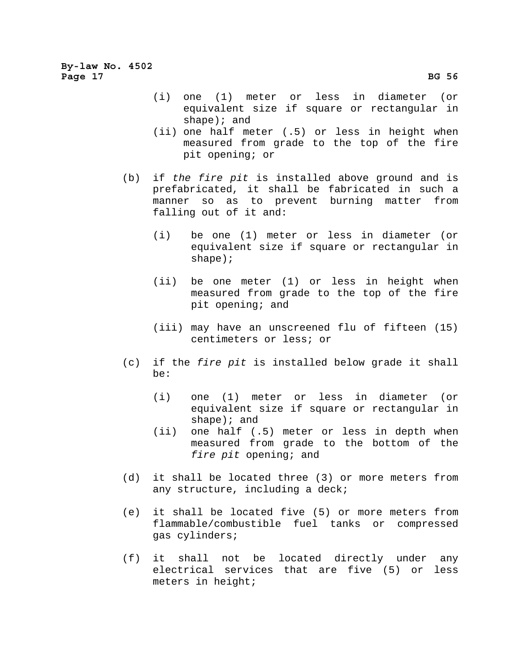- (i) one (1) meter or less in diameter (or equivalent size if square or rectangular in shape); and
- (ii) one half meter (.5) or less in height when measured from grade to the top of the fire pit opening; or
- (b) if *the fire pit* is installed above ground and is prefabricated, it shall be fabricated in such a manner so as to prevent burning matter from falling out of it and:
	- (i) be one (1) meter or less in diameter (or equivalent size if square or rectangular in shape);
	- (ii) be one meter (1) or less in height when measured from grade to the top of the fire pit opening; and
	- (iii) may have an unscreened flu of fifteen (15) centimeters or less; or
- (c) if the *fire pit* is installed below grade it shall be:
	- (i) one (1) meter or less in diameter (or equivalent size if square or rectangular in shape); and
	- (ii) one half (.5) meter or less in depth when measured from grade to the bottom of the *fire pit* opening; and
- (d) it shall be located three (3) or more meters from any structure, including a deck;
- (e) it shall be located five (5) or more meters from flammable/combustible fuel tanks or compressed gas cylinders;
- (f) it shall not be located directly under any electrical services that are five (5) or less meters in height;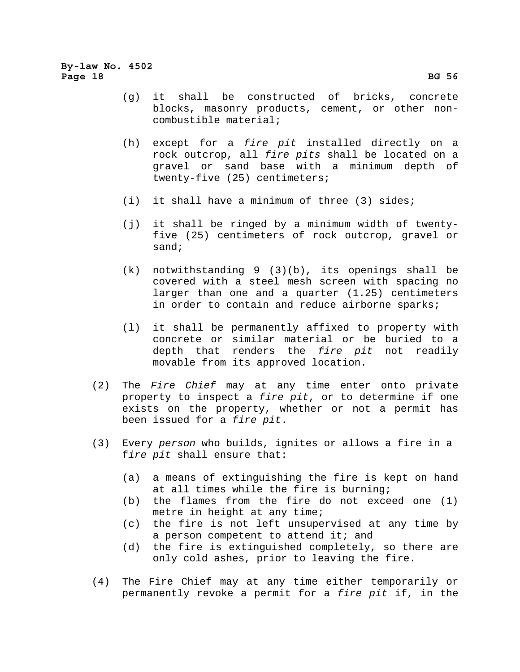- (g) it shall be constructed of bricks, concrete blocks, masonry products, cement, or other noncombustible material;
- (h) except for a *fire pit* installed directly on a rock outcrop, all *fire pits* shall be located on a gravel or sand base with a minimum depth of twenty-five (25) centimeters;
- (i) it shall have a minimum of three (3) sides;
- (j) it shall be ringed by a minimum width of twentyfive (25) centimeters of rock outcrop, gravel or sand;
- (k) notwithstanding 9 (3)(b), its openings shall be covered with a steel mesh screen with spacing no larger than one and a quarter (1.25) centimeters in order to contain and reduce airborne sparks;
- (l) it shall be permanently affixed to property with concrete or similar material or be buried to a depth that renders the *fire pit* not readily movable from its approved location.
- (2) The *Fire Chief* may at any time enter onto private property to inspect a *fire pit*, or to determine if one exists on the property, whether or not a permit has been issued for a *fire pit*.
- (3) Every *person* who builds, ignites or allows a fire in a f*ire pit* shall ensure that:
	- (a) a means of extinguishing the fire is kept on hand at all times while the fire is burning;
	- (b) the flames from the fire do not exceed one (1) metre in height at any time;
	- (c) the fire is not left unsupervised at any time by a person competent to attend it; and
	- (d) the fire is extinguished completely, so there are only cold ashes, prior to leaving the fire.
- (4) The Fire Chief may at any time either temporarily or permanently revoke a permit for a *fire pit* if, in the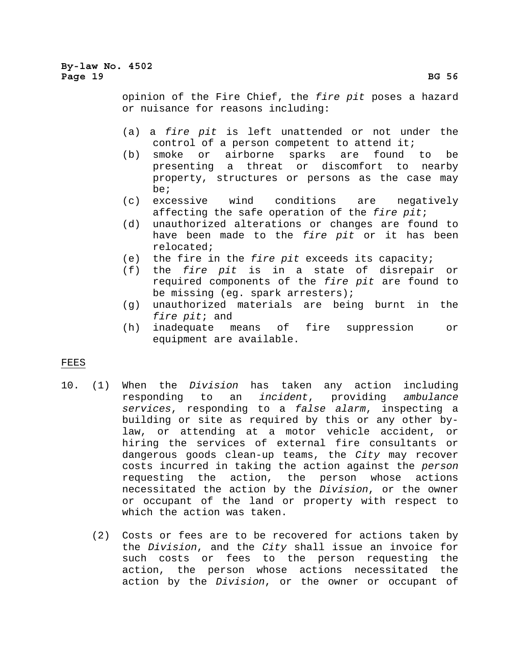# **By-law No. 4502**  Page 19 BG 56<sup>2</sup>

opinion of the Fire Chief, the *fire pit* poses a hazard or nuisance for reasons including:

- (a) a *fire pit* is left unattended or not under the control of a person competent to attend it;
- (b) smoke or airborne sparks are found to be presenting a threat or discomfort to nearby property, structures or persons as the case may be;
- (c) excessive wind conditions are negatively affecting the safe operation of the *fire pit*;
- (d) unauthorized alterations or changes are found to have been made to the *fire pit* or it has been relocated;
- (e) the fire in the *fire pit* exceeds its capacity;
- (f) the *fire pit* is in a state of disrepair or required components of the *fire pit* are found to be missing (eg. spark arresters);
- (g) unauthorized materials are being burnt in the *fire pit*; and
- (h) inadequate means of fire suppression or equipment are available.

# FEES

- 10. (1) When the *Division* has taken any action including responding to an *incident*, providing *ambulance services*, responding to a *false alarm*, inspecting a building or site as required by this or any other bylaw, or attending at a motor vehicle accident, or hiring the services of external fire consultants or dangerous goods clean-up teams, the *City* may recover costs incurred in taking the action against the *person* requesting the action, the person whose actions necessitated the action by the *Division*, or the owner or occupant of the land or property with respect to which the action was taken.
	- (2) Costs or fees are to be recovered for actions taken by the *Division*, and the *City* shall issue an invoice for such costs or fees to the person requesting the action, the person whose actions necessitated the action by the *Division*, or the owner or occupant of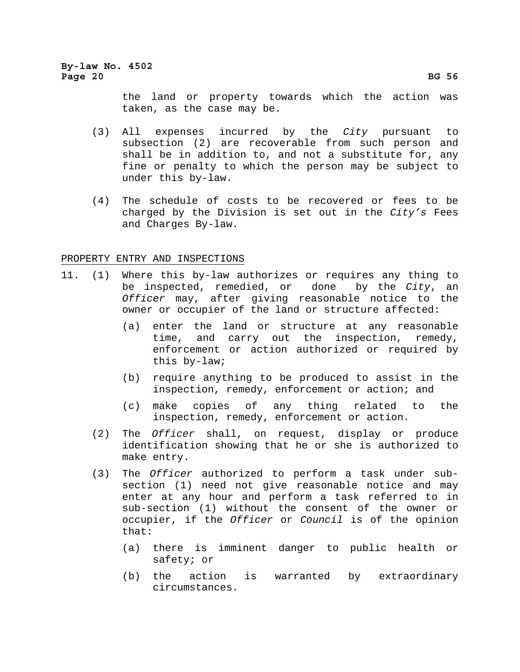**By-law No. 4502**  Page 20 BG 56<sup>2</sup>

> the land or property towards which the action was taken, as the case may be.

- (3) All expenses incurred by the *City* pursuant to subsection (2) are recoverable from such person and shall be in addition to, and not a substitute for, any fine or penalty to which the person may be subject to under this by-law.
- (4) The schedule of costs to be recovered or fees to be charged by the Division is set out in the *City's* Fees and Charges By-law.

PROPERTY ENTRY AND INSPECTIONS

- 11. (1) Where this by-law authorizes or requires any thing to be inspected, remedied, or done by the *City*, an *Officer* may, after giving reasonable notice to the owner or occupier of the land or structure affected:
	- (a) enter the land or structure at any reasonable time, and carry out the inspection, remedy, enforcement or action authorized or required by this by-law;
	- (b) require anything to be produced to assist in the inspection, remedy, enforcement or action; and
	- (c) make copies of any thing related to the inspection, remedy, enforcement or action.
	- (2) The *Officer* shall, on request, display or produce identification showing that he or she is authorized to make entry.
	- (3) The *Officer* authorized to perform a task under subsection (1) need not give reasonable notice and may enter at any hour and perform a task referred to in sub-section (1) without the consent of the owner or occupier, if the *Officer* or *Council* is of the opinion that:
		- (a) there is imminent danger to public health or safety; or
		- (b) the action is warranted by extraordinary circumstances.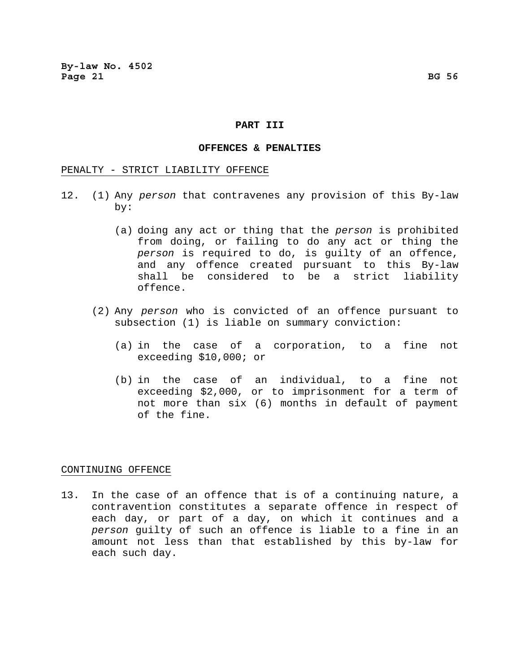#### **PART III**

#### **OFFENCES & PENALTIES**

### PENALTY - STRICT LIABILITY OFFENCE

- 12. (1) Any *person* that contravenes any provision of this By-law by:
	- (a) doing any act or thing that the *person* is prohibited from doing, or failing to do any act or thing the *person* is required to do, is guilty of an offence, and any offence created pursuant to this By-law shall be considered to be a strict liability offence.
	- (2) Any *person* who is convicted of an offence pursuant to subsection (1) is liable on summary conviction:
		- (a) in the case of a corporation, to a fine not exceeding \$10,000; or
		- (b) in the case of an individual, to a fine not exceeding \$2,000, or to imprisonment for a term of not more than six (6) months in default of payment of the fine.

#### CONTINUING OFFENCE

13. In the case of an offence that is of a continuing nature, a contravention constitutes a separate offence in respect of each day, or part of a day, on which it continues and a *person* guilty of such an offence is liable to a fine in an amount not less than that established by this by-law for each such day.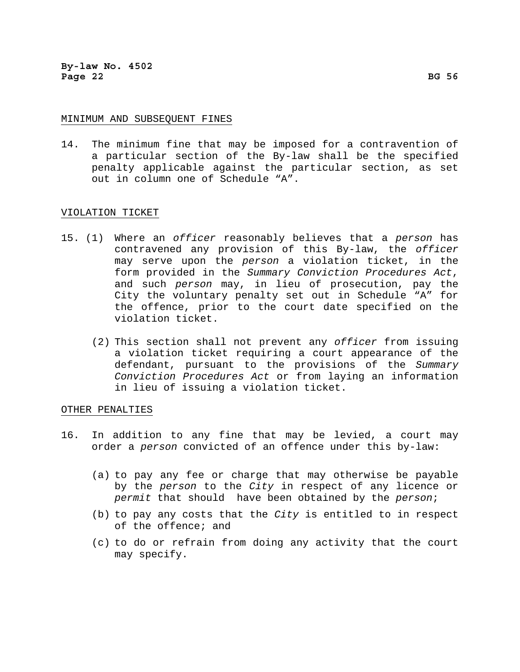### MINIMUM AND SUBSEQUENT FINES

14. The minimum fine that may be imposed for a contravention of a particular section of the By-law shall be the specified penalty applicable against the particular section, as set out in column one of Schedule "A".

## VIOLATION TICKET

- 15. (1) Where an *officer* reasonably believes that a *person* has contravened any provision of this By-law, the *officer* may serve upon the *person* a violation ticket, in the form provided in the *Summary Conviction Procedures Act*, and such *person* may, in lieu of prosecution, pay the City the voluntary penalty set out in Schedule "A" for the offence, prior to the court date specified on the violation ticket.
	- (2) This section shall not prevent any *officer* from issuing a violation ticket requiring a court appearance of the defendant, pursuant to the provisions of the *Summary Conviction Procedures Act* or from laying an information in lieu of issuing a violation ticket.

# OTHER PENALTIES

- 16. In addition to any fine that may be levied, a court may order a *person* convicted of an offence under this by-law:
	- (a) to pay any fee or charge that may otherwise be payable by the *person* to the *City* in respect of any licence or *permit* that should have been obtained by the *person*;
	- (b) to pay any costs that the *City* is entitled to in respect of the offence; and
	- (c) to do or refrain from doing any activity that the court may specify.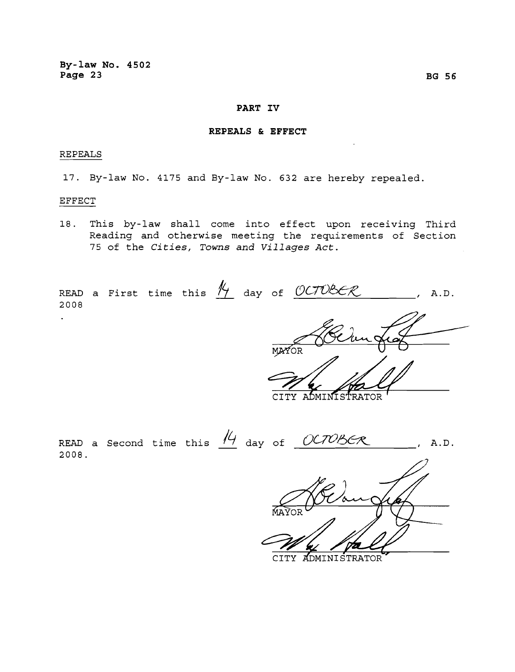# **PART IV**

## **REPEALS & EFFECT**

### REPEALS

17. By-law No. 4175 and By-law No. 632 are hereby repealed.

## EFFECT

18. This by-law shall come into effect upon receiving Third Reading and otherwise meeting the requirements of Section 75 of the *Cities, Towns and Villages Act.* 

READ a First time this  $\frac{N}{2}$  day of  $\frac{OCTOBER}{P}$ , A.D. 2008  $\mathbf{r}^{\top}$ MAYOR **CITY** ADMINISTRATOR READ a Second time this  $\frac{14}{4}$  day of  $\frac{OCTOBCR}{2}$ , A.D. 2008.

**ADMINISTRATOR CITY**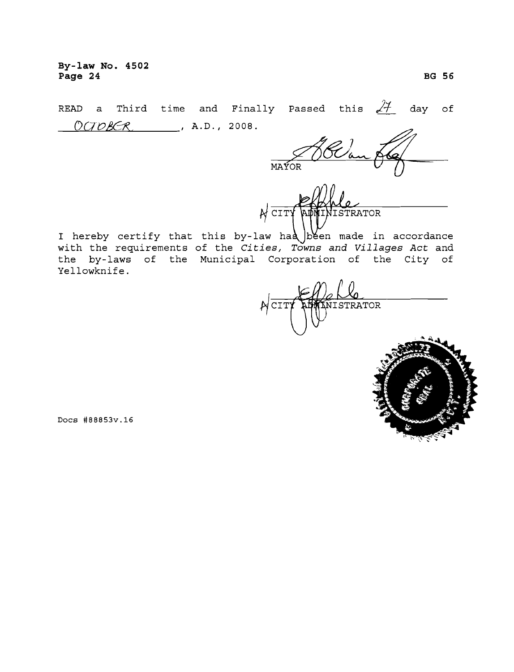**By-law No. 4502 Page 24** BG 56 **BG 56** 

READ a Third time and Finally Passed this  $24$  day of  $O(TOBER$ , A.D., 2008.

SC/o MAYOR

 $N \frac{1}{CIT}$ TRATOR

I hereby certify that this by-law had been made in accordance with the requirements of the *Cities, Towns and Villages Act* and the by-laws of the Municipal Corporation of the City of Yellowknife.

NISTRATOR .~CIT



Docs #88853v.16